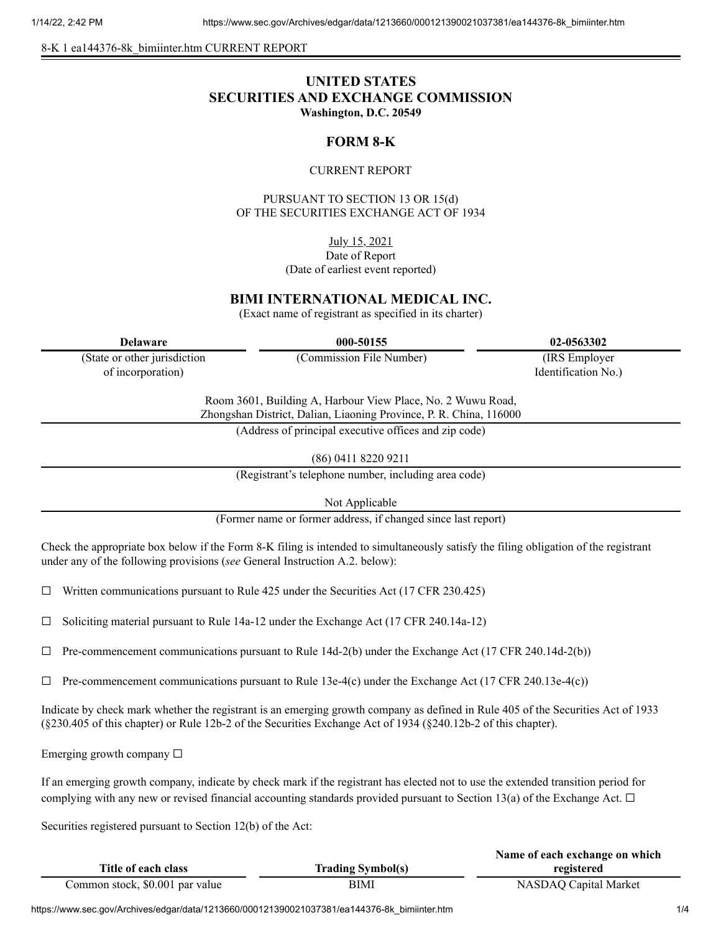8-K 1 ea144376-8k\_bimiinter.htm CURRENT REPORT

# **UNITED STATES SECURITIES AND EXCHANGE COMMISSION Washington, D.C. 20549**

## **FORM 8-K**

#### CURRENT REPORT

PURSUANT TO SECTION 13 OR 15(d) OF THE SECURITIES EXCHANGE ACT OF 1934

July 15, 2021

Date of Report (Date of earliest event reported)

## **BIMI INTERNATIONAL MEDICAL INC.**

(Exact name of registrant as specified in its charter)

(State or other jurisdiction of incorporation)

**Delaware 000-50155 02-0563302**

(Commission File Number) (IRS Employer Identification No.)

Room 3601, Building A, Harbour View Place, No. 2 Wuwu Road, Zhongshan District, Dalian, Liaoning Province, P. R. China, 116000

(Address of principal executive offices and zip code)

(86) 0411 8220 9211

(Registrant's telephone number, including area code)

Not Applicable

(Former name or former address, if changed since last report)

Check the appropriate box below if the Form 8-K filing is intended to simultaneously satisfy the filing obligation of the registrant under any of the following provisions (*see* General Instruction A.2. below):

 $\Box$  Written communications pursuant to Rule 425 under the Securities Act (17 CFR 230.425)

☐ Soliciting material pursuant to Rule 14a-12 under the Exchange Act (17 CFR 240.14a-12)

 $\Box$  Pre-commencement communications pursuant to Rule 14d-2(b) under the Exchange Act (17 CFR 240.14d-2(b))

 $\Box$  Pre-commencement communications pursuant to Rule 13e-4(c) under the Exchange Act (17 CFR 240.13e-4(c))

Indicate by check mark whether the registrant is an emerging growth company as defined in Rule 405 of the Securities Act of 1933 (§230.405 of this chapter) or Rule 12b-2 of the Securities Exchange Act of 1934 (§240.12b-2 of this chapter).

Emerging growth company  $\Box$ 

If an emerging growth company, indicate by check mark if the registrant has elected not to use the extended transition period for complying with any new or revised financial accounting standards provided pursuant to Section 13(a) of the Exchange Act.  $\Box$ 

Securities registered pursuant to Section 12(b) of the Act:

|                                 |                          | Name of each exchange on which |
|---------------------------------|--------------------------|--------------------------------|
| Title of each class             | <b>Trading Symbol(s)</b> | registered                     |
| Common stock, \$0.001 par value | BIMI                     | NASDAQ Capital Market          |

https://www.sec.gov/Archives/edgar/data/1213660/000121390021037381/ea144376-8k\_bimiinter.htm 1/4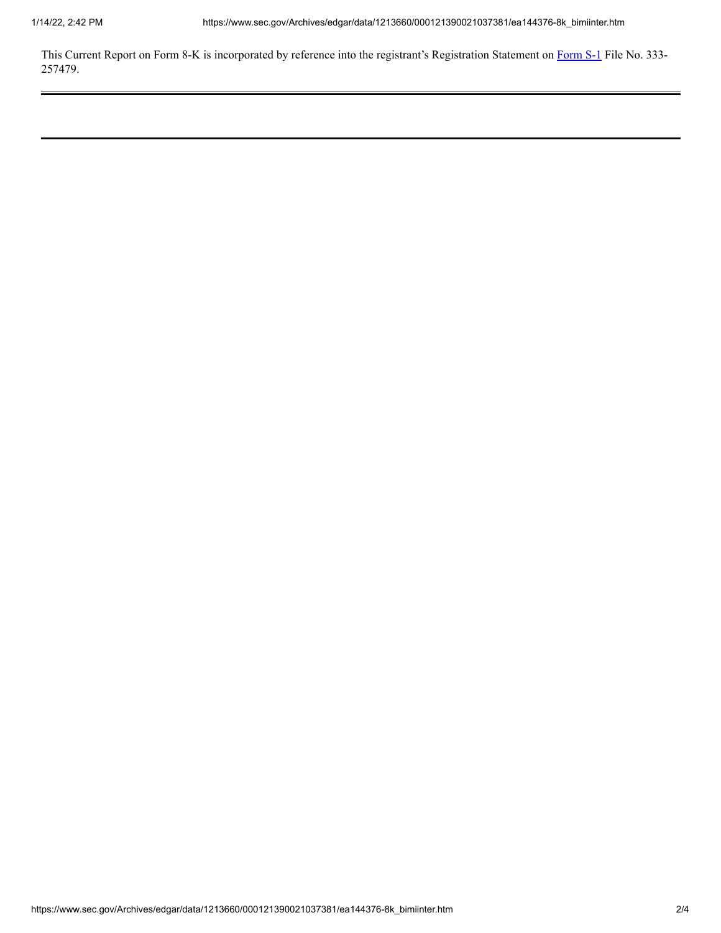This Current Report on [Form](http://www.sec.gov/Archives/edgar/data/1213660/000121390021034463/ea139864-s1_boqiinter.htm) 8-K is incorporated by reference into the registrant's Registration Statement on Form S-1 File No. 333-257479.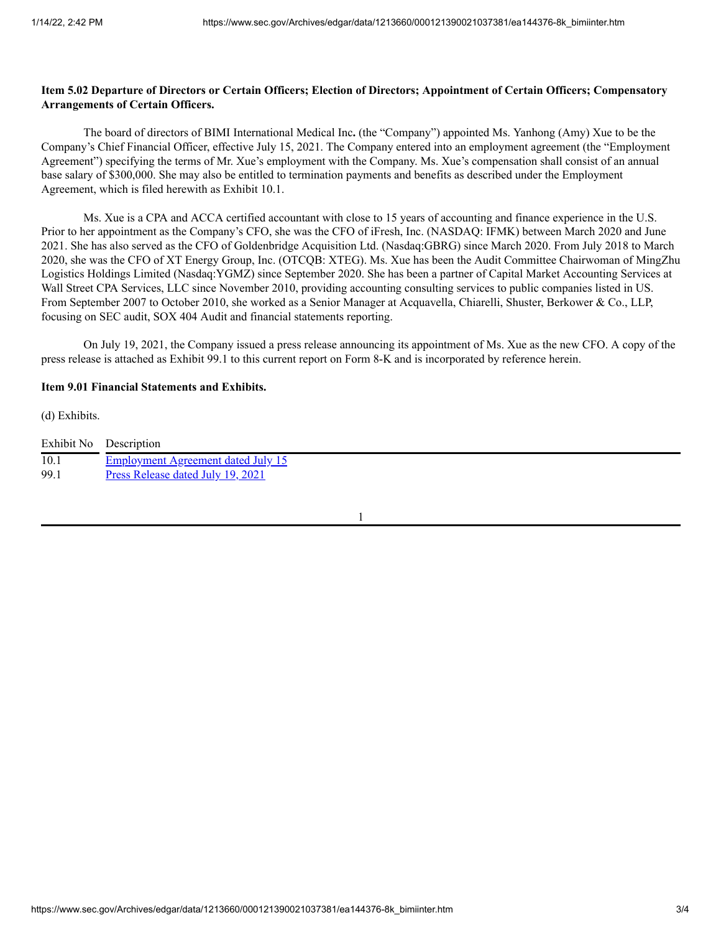### Item 5.02 Departure of Directors or Certain Officers; Election of Directors; Appointment of Certain Officers; Compensatory **Arrangements of Certain Officers.**

The board of directors of BIMI International Medical Inc**.** (the "Company") appointed Ms. Yanhong (Amy) Xue to be the Company's Chief Financial Officer, effective July 15, 2021. The Company entered into an employment agreement (the "Employment Agreement") specifying the terms of Mr. Xue's employment with the Company. Ms. Xue's compensation shall consist of an annual base salary of \$300,000. She may also be entitled to termination payments and benefits as described under the Employment Agreement, which is filed herewith as Exhibit 10.1.

Ms. Xue is a CPA and ACCA certified accountant with close to 15 years of accounting and finance experience in the U.S. Prior to her appointment as the Company's CFO, she was the CFO of iFresh, Inc. (NASDAQ: IFMK) between March 2020 and June 2021. She has also served as the CFO of Goldenbridge Acquisition Ltd. (Nasdaq:GBRG) since March 2020. From July 2018 to March 2020, she was the CFO of XT Energy Group, Inc. (OTCQB: XTEG). Ms. Xue has been the Audit Committee Chairwoman of MingZhu Logistics Holdings Limited (Nasdaq:YGMZ) since September 2020. She has been a partner of Capital Market Accounting Services at Wall Street CPA Services, LLC since November 2010, providing accounting consulting services to public companies listed in US. From September 2007 to October 2010, she worked as a Senior Manager at Acquavella, Chiarelli, Shuster, Berkower & Co., LLP, focusing on SEC audit, SOX 404 Audit and financial statements reporting.

On July 19, 2021, the Company issued a press release announcing its appointment of Ms. Xue as the new CFO. A copy of the press release is attached as Exhibit 99.1 to this current report on Form 8-K and is incorporated by reference herein.

### **Item 9.01 Financial Statements and Exhibits.**

(d) Exhibits.

|      | Exhibit No Description                    |
|------|-------------------------------------------|
| 10.1 | <b>Employment Agreement dated July 15</b> |
| 99.1 | Press Release dated July 19, 2021         |
|      |                                           |

1